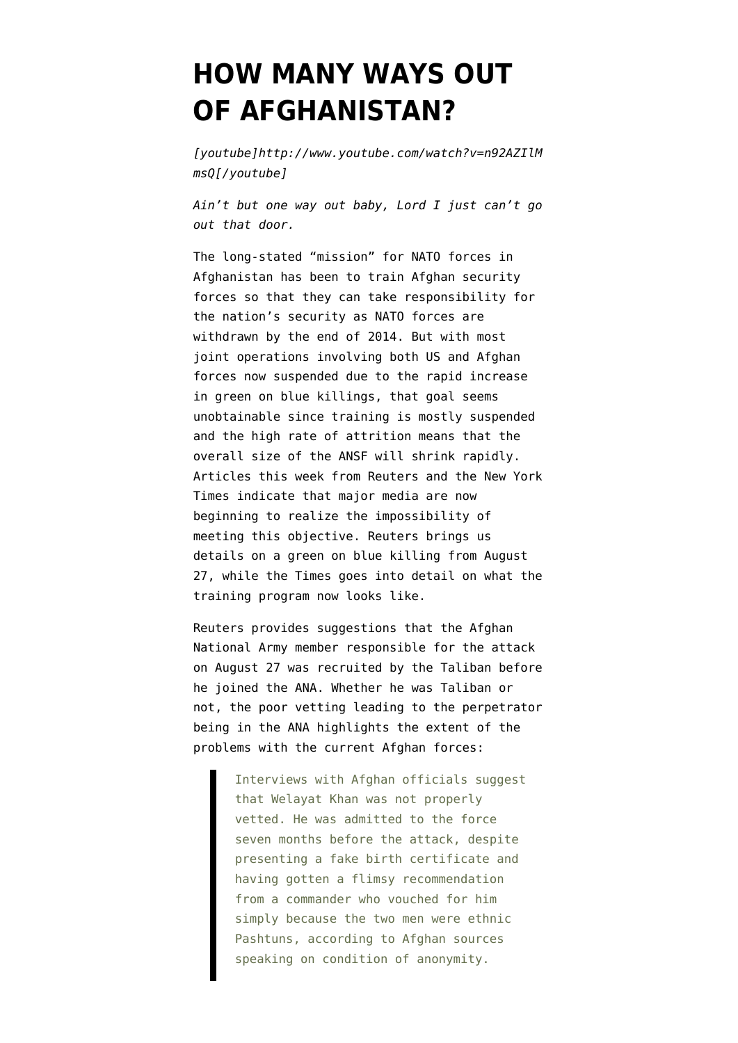## **[HOW MANY WAYS OUT](https://www.emptywheel.net/2012/09/27/how-many-ways-out-of-afghanistan/) [OF AFGHANISTAN?](https://www.emptywheel.net/2012/09/27/how-many-ways-out-of-afghanistan/)**

*[youtube]http://www.youtube.com/watch?v=n92AZIlM msQ[/youtube]*

*Ain't but one way out baby, Lord I just can't go out that door.*

The long-stated "mission" for NATO forces in Afghanistan has been to train Afghan security forces so that they can take responsibility for the nation's security as NATO forces are withdrawn by the end of 2014. But with [most](http://www.emptywheel.net/2012/09/18/beginning-of-the-end-in-afghanistan-most-joint-operations-below-battalion-level-suspended/) [joint operations involving both US and Afghan](http://www.emptywheel.net/2012/09/18/beginning-of-the-end-in-afghanistan-most-joint-operations-below-battalion-level-suspended/) [forces now suspended](http://www.emptywheel.net/2012/09/18/beginning-of-the-end-in-afghanistan-most-joint-operations-below-battalion-level-suspended/) due to the rapid increase in green on blue killings, that goal seems unobtainable since training is mostly suspended and the high rate of attrition means that the overall size of the ANSF will shrink rapidly. Articles this week from Reuters and the New York Times indicate that major media are now beginning to realize the impossibility of meeting this objective. [Reuters brings us](http://www.reuters.com/article/2012/09/27/us-usa-afghanistan-insider-attacks-idUSBRE88P1TK20120927) [details on a green on blue killing](http://www.reuters.com/article/2012/09/27/us-usa-afghanistan-insider-attacks-idUSBRE88P1TK20120927) from August 27, while the [Times goes into detail on what the](http://www.nytimes.com/2012/09/26/world/asia/in-afghanistan-us-advisers-train-allies-with-caution.html) [training program now looks like.](http://www.nytimes.com/2012/09/26/world/asia/in-afghanistan-us-advisers-train-allies-with-caution.html)

Reuters provides suggestions that the Afghan National Army member responsible for the attack on August 27 was recruited by the Taliban before he joined the ANA. Whether he was Taliban or not, the poor vetting leading to the perpetrator being in the ANA highlights the extent of the problems with the current Afghan forces:

> Interviews with Afghan officials suggest that Welayat Khan was not properly vetted. He was admitted to the force seven months before the attack, despite presenting a fake birth certificate and having gotten a flimsy recommendation from a commander who vouched for him simply because the two men were ethnic Pashtuns, according to Afghan sources speaking on condition of anonymity.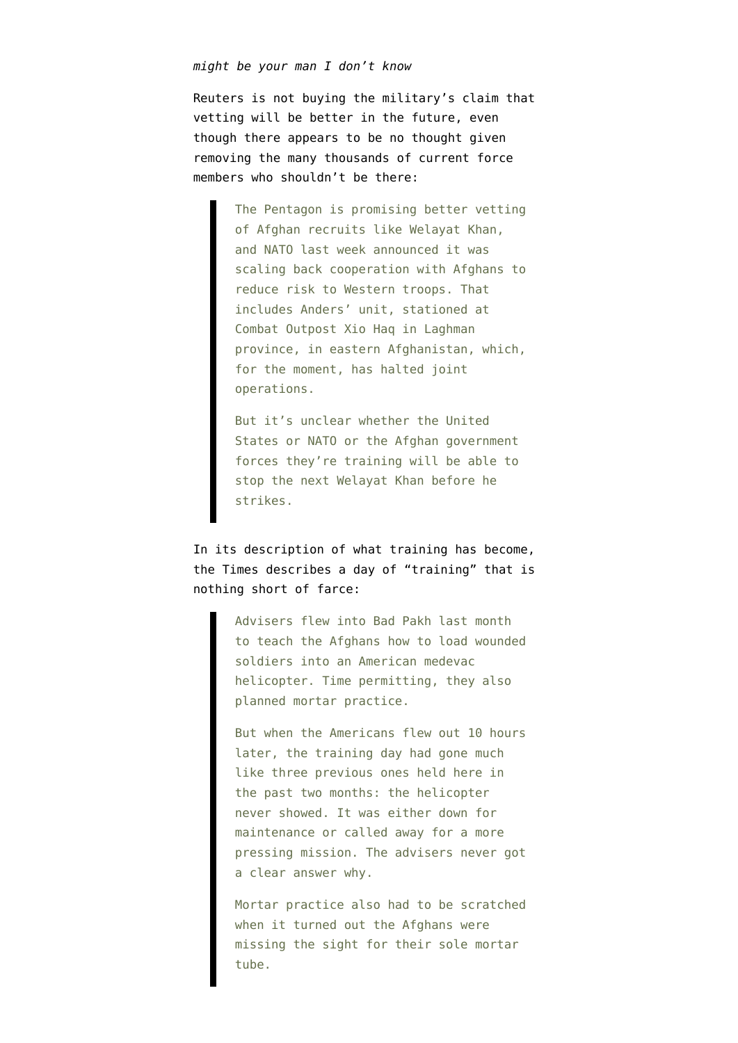## *might be your man I don't know*

Reuters is not buying the military's claim that vetting will be better in the future, even though there appears to be no thought given removing the many thousands of current force members who shouldn't be there:

> The Pentagon is promising better vetting of Afghan recruits like Welayat Khan, and NATO last week announced it was scaling back cooperation with Afghans to reduce risk to Western troops. That includes Anders' unit, stationed at Combat Outpost Xio Haq in Laghman province, in eastern Afghanistan, which, for the moment, has halted joint operations.

But it's unclear whether the United States or NATO or the Afghan government forces they're training will be able to stop the next Welayat Khan before he strikes.

In its description of what training has become, the Times describes a day of "training" that is nothing short of farce:

> Advisers flew into Bad Pakh last month to teach the Afghans how to load wounded soldiers into an American medevac helicopter. Time permitting, they also planned mortar practice.

> But when the Americans flew out 10 hours later, the training day had gone much like three previous ones held here in the past two months: the helicopter never showed. It was either down for maintenance or called away for a more pressing mission. The advisers never got a clear answer why.

> Mortar practice also had to be scratched when it turned out the Afghans were missing the sight for their sole mortar tube.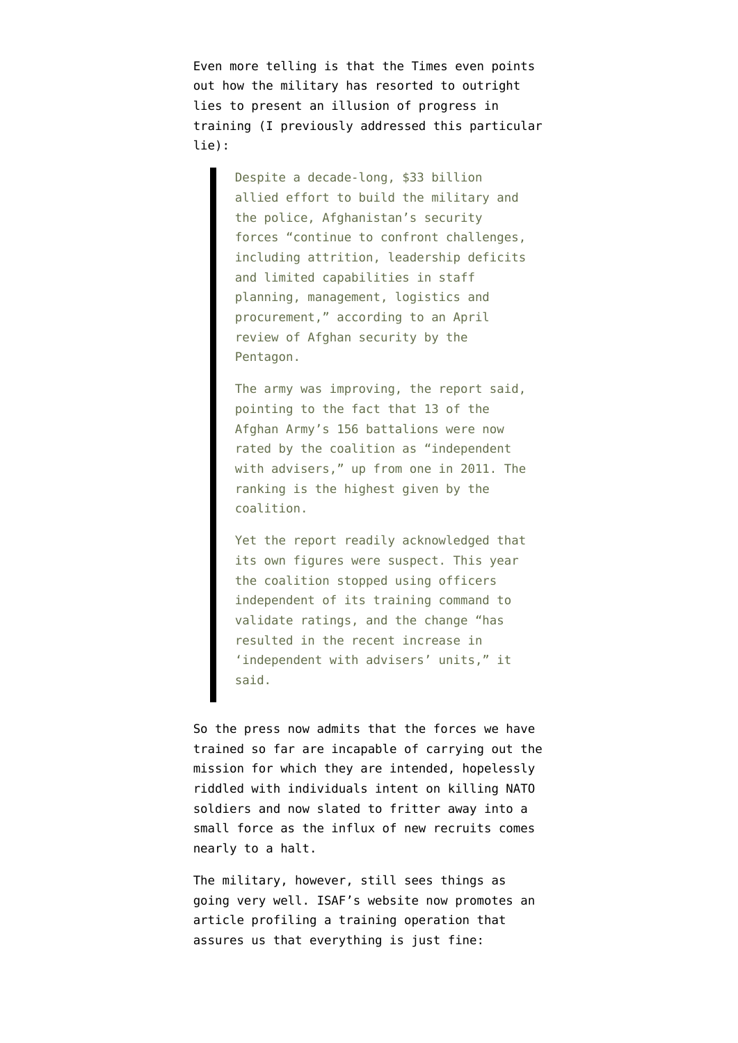Even more telling is that the Times even points out how the military has resorted to outright lies to present an illusion of progress in training (I previously addressed [this particular](http://www.emptywheel.net/2012/07/25/gao-catches-dod-changing-definitions-to-claim-progress-training-afghans-misses-real-risks/) [lie\)](http://www.emptywheel.net/2012/07/25/gao-catches-dod-changing-definitions-to-claim-progress-training-afghans-misses-real-risks/):

> Despite a decade-long, \$33 billion allied effort to build the military and the police, Afghanistan's security forces "continue to confront challenges, including attrition, leadership deficits and limited capabilities in staff planning, management, logistics and procurement," according to an April review of Afghan security by the Pentagon.

> The army was improving, the report said, pointing to the fact that 13 of the Afghan Army's 156 battalions were now rated by the coalition as "independent with advisers," up from one in 2011. The ranking is the highest given by the coalition.

> Yet the report readily acknowledged that its own figures were suspect. This year the coalition stopped using officers independent of its training command to validate ratings, and the change "has resulted in the recent increase in 'independent with advisers' units," it said.

So the press now admits that the forces we have trained so far are incapable of carrying out the mission for which they are intended, hopelessly riddled with individuals intent on killing NATO soldiers and now slated to fritter away into a small force as the influx of new recruits comes nearly to a halt.

The military, however, still sees things as going very well. [ISAF's website now promotes an](http://www.isaf.nato.int/article/news/anas-7th-kandak-the-way-ahead.html) [article](http://www.isaf.nato.int/article/news/anas-7th-kandak-the-way-ahead.html) profiling a training operation that assures us that everything is just fine: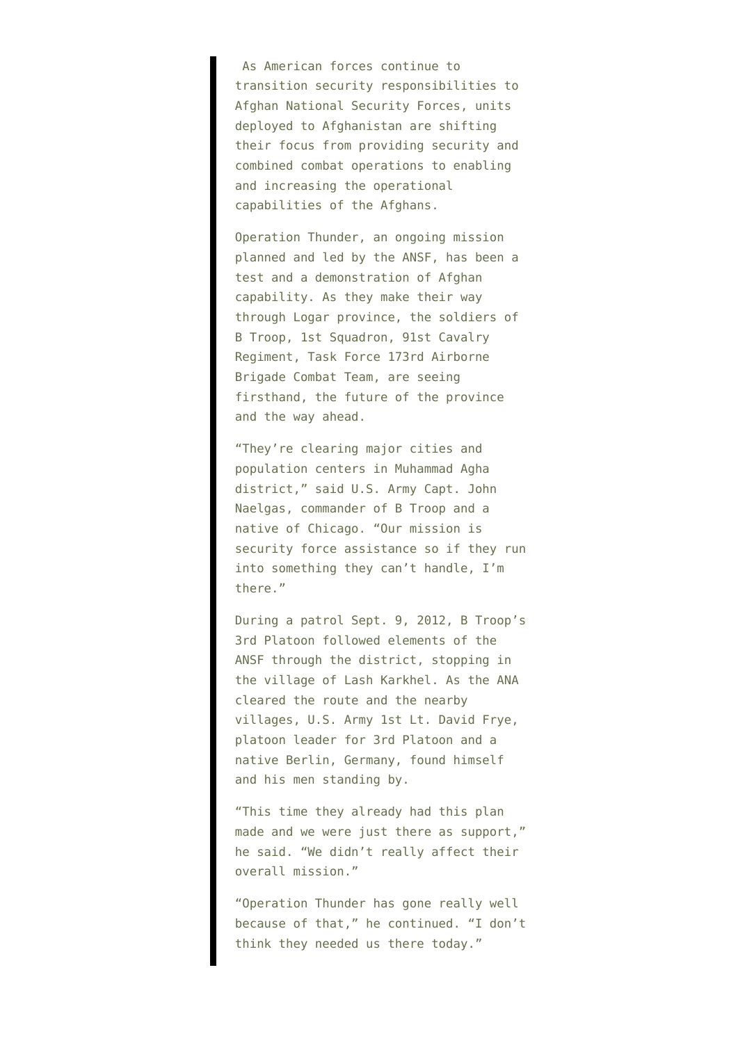As American forces continue to transition security responsibilities to Afghan National Security Forces, units deployed to Afghanistan are shifting their focus from providing security and combined combat operations to enabling and increasing the operational capabilities of the Afghans.

Operation Thunder, an ongoing mission planned and led by the ANSF, has been a test and a demonstration of Afghan capability. As they make their way through Logar province, the soldiers of B Troop, 1st Squadron, 91st Cavalry Regiment, Task Force 173rd Airborne Brigade Combat Team, are seeing firsthand, the future of the province and the way ahead.

"They're clearing major cities and population centers in Muhammad Agha district," said U.S. Army Capt. John Naelgas, commander of B Troop and a native of Chicago. "Our mission is security force assistance so if they run into something they can't handle, I'm there."

During a patrol Sept. 9, 2012, B Troop's 3rd Platoon followed elements of the ANSF through the district, stopping in the village of Lash Karkhel. As the ANA cleared the route and the nearby villages, U.S. Army 1st Lt. David Frye, platoon leader for 3rd Platoon and a native Berlin, Germany, found himself and his men standing by.

"This time they already had this plan made and we were just there as support," he said. "We didn't really affect their overall mission."

"Operation Thunder has gone really well because of that," he continued. "I don't think they needed us there today."